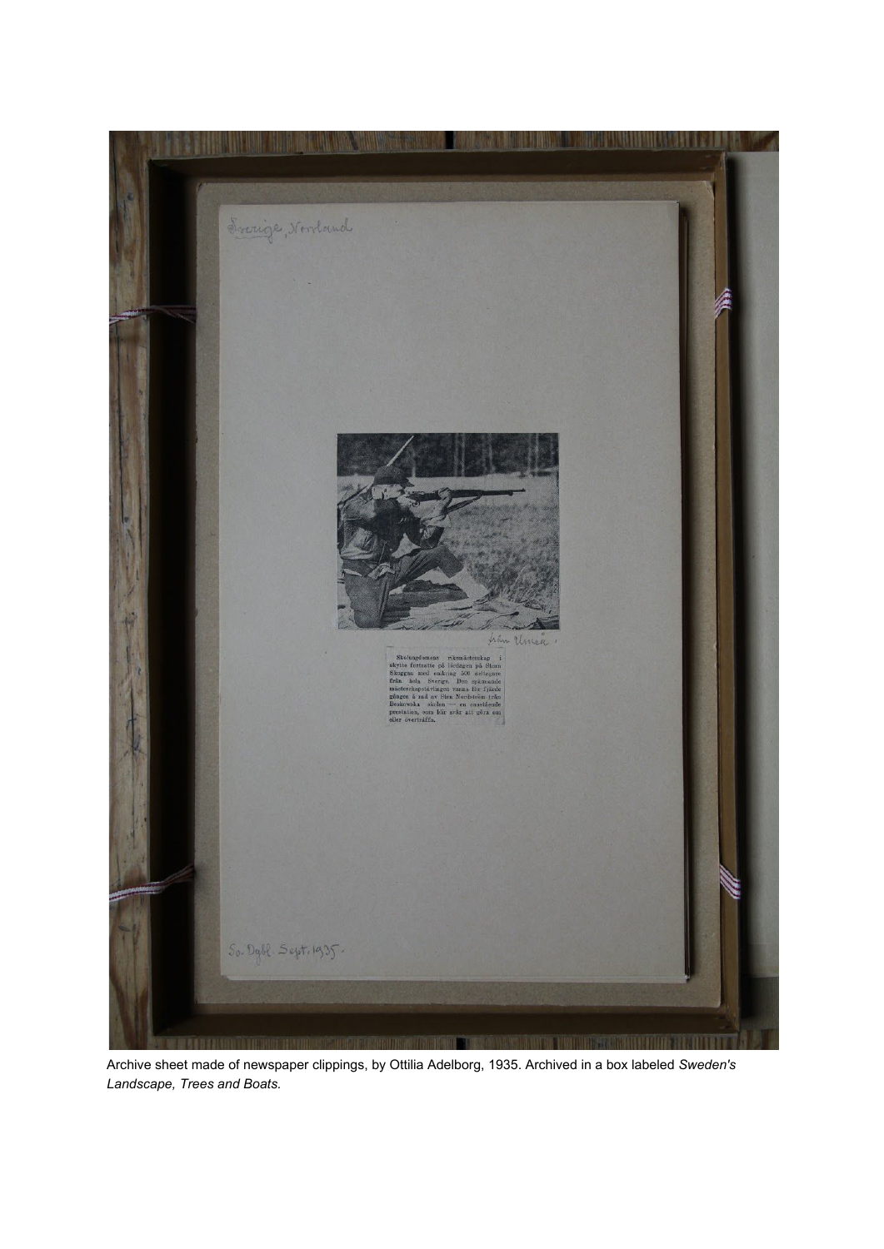

Archive sheet made of newspaper clippings, by Ottilia Adelborg, 1935. Archived in a box labeled *Sweden's Landscape, Trees and Boats.*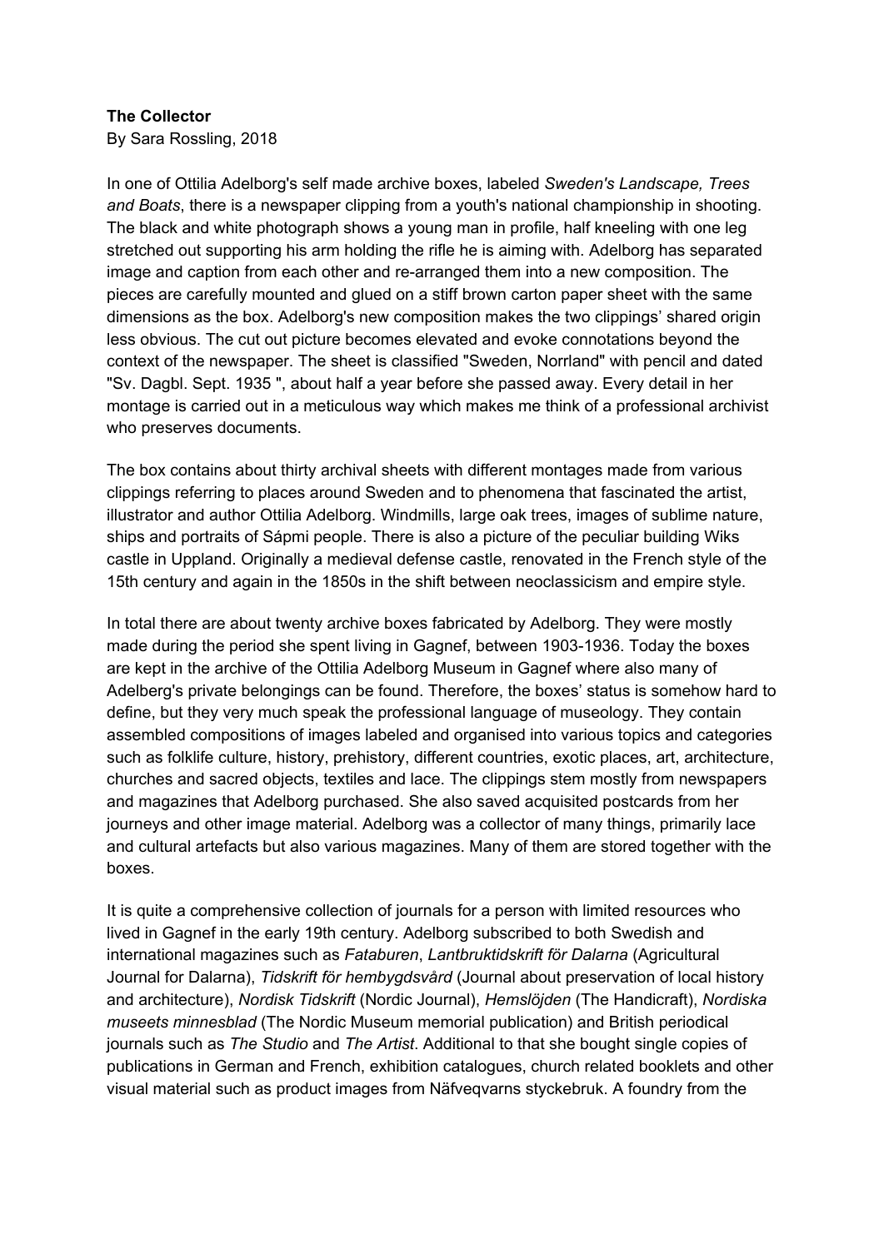## **The Collector**

By Sara Rossling, 2018

In one of Ottilia Adelborg's self made archive boxes, labeled *Sweden's Landscape, Trees and Boats*, there is a newspaper clipping from a youth's national championship in shooting. The black and white photograph shows a young man in profile, half kneeling with one leg stretched out supporting his arm holding the rifle he is aiming with. Adelborg has separated image and caption from each other and re-arranged them into a new composition. The pieces are carefully mounted and glued on a stiff brown carton paper sheet with the same dimensions as the box. Adelborg's new composition makes the two clippings' shared origin less obvious. The cut out picture becomes elevated and evoke connotations beyond the context of the newspaper. The sheet is classified "Sweden, Norrland" with pencil and dated "Sv. Dagbl. Sept. 1935 ", about half a year before she passed away. Every detail in her montage is carried out in a meticulous way which makes me think of a professional archivist who preserves documents.

The box contains about thirty archival sheets with different montages made from various clippings referring to places around Sweden and to phenomena that fascinated the artist, illustrator and author Ottilia Adelborg. Windmills, large oak trees, images of sublime nature, ships and portraits of Sápmi people. There is also a picture of the peculiar building Wiks castle in Uppland. Originally a medieval defense castle, renovated in the French style of the 15th century and again in the 1850s in the shift between neoclassicism and empire style.

In total there are about twenty archive boxes fabricated by Adelborg. They were mostly made during the period she spent living in Gagnef, between 1903-1936. Today the boxes are kept in the archive of the Ottilia Adelborg Museum in Gagnef where also many of Adelberg's private belongings can be found. Therefore, the boxes' status is somehow hard to define, but they very much speak the professional language of museology. They contain assembled compositions of images labeled and organised into various topics and categories such as folklife culture, history, prehistory, different countries, exotic places, art, architecture, churches and sacred objects, textiles and lace. The clippings stem mostly from newspapers and magazines that Adelborg purchased. She also saved acquisited postcards from her journeys and other image material. Adelborg was a collector of many things, primarily lace and cultural artefacts but also various magazines. Many of them are stored together with the boxes.

It is quite a comprehensive collection of journals for a person with limited resources who lived in Gagnef in the early 19th century. Adelborg subscribed to both Swedish and international magazines such as *Fataburen*, *Lantbruktidskrift för Dalarna* (Agricultural Journal for Dalarna), *Tidskrift för hembygdsvård* (Journal about preservation of local history and architecture), *Nordisk Tidskrift* (Nordic Journal), *Hemslöjden* (The Handicraft), *Nordiska museets minnesblad* (The Nordic Museum memorial publication) and British periodical journals such as *The Studio* and *The Artist*. Additional to that she bought single copies of publications in German and French, exhibition catalogues, church related booklets and other visual material such as product images from Näfveqvarns styckebruk. A foundry from the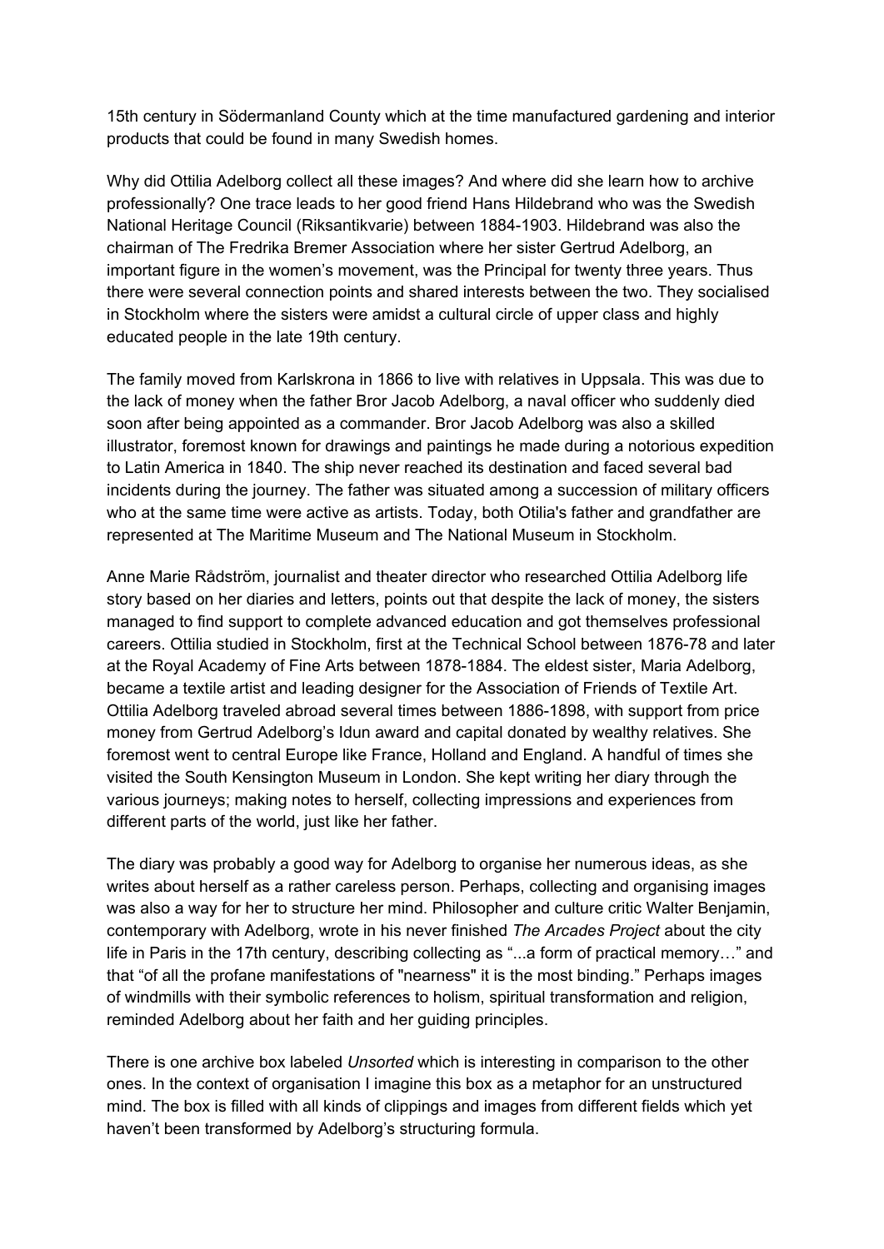15th century in Södermanland County which at the time manufactured gardening and interior products that could be found in many Swedish homes.

Why did Ottilia Adelborg collect all these images? And where did she learn how to archive professionally? One trace leads to her good friend Hans Hildebrand who was the Swedish National Heritage Council (Riksantikvarie) between 1884-1903. Hildebrand was also the chairman of The Fredrika Bremer Association where her sister Gertrud Adelborg, an important figure in the women's movement, was the Principal for twenty three years. Thus there were several connection points and shared interests between the two. They socialised in Stockholm where the sisters were amidst a cultural circle of upper class and highly educated people in the late 19th century.

The family moved from Karlskrona in 1866 to live with relatives in Uppsala. This was due to the lack of money when the father Bror Jacob Adelborg, a naval officer who suddenly died soon after being appointed as a commander. Bror Jacob Adelborg was also a skilled illustrator, foremost known for drawings and paintings he made during a notorious expedition to Latin America in 1840. The ship never reached its destination and faced several bad incidents during the journey. The father was situated among a succession of military officers who at the same time were active as artists. Today, both Otilia's father and grandfather are represented at The Maritime Museum and The National Museum in Stockholm.

Anne Marie Rådström, journalist and theater director who researched Ottilia Adelborg life story based on her diaries and letters, points out that despite the lack of money, the sisters managed to find support to complete advanced education and got themselves professional careers. Ottilia studied in Stockholm, first at the Technical School between 1876-78 and later at the Royal Academy of Fine Arts between 1878-1884. The eldest sister, Maria Adelborg, became a textile artist and leading designer for the Association of Friends of Textile Art. Ottilia Adelborg traveled abroad several times between 1886-1898, with support from price money from Gertrud Adelborg's Idun award and capital donated by wealthy relatives. She foremost went to central Europe like France, Holland and England. A handful of times she visited the South Kensington Museum in London. She kept writing her diary through the various journeys; making notes to herself, collecting impressions and experiences from different parts of the world, just like her father.

The diary was probably a good way for Adelborg to organise her numerous ideas, as she writes about herself as a rather careless person. Perhaps, collecting and organising images was also a way for her to structure her mind. Philosopher and culture critic Walter Benjamin, contemporary with Adelborg, wrote in his never finished *The Arcades Project* about the city life in Paris in the 17th century, describing collecting as "...a form of practical memory…" and that "of all the profane manifestations of "nearness" it is the most binding." Perhaps images of windmills with their symbolic references to holism, spiritual transformation and religion, reminded Adelborg about her faith and her guiding principles.

There is one archive box labeled *Unsorted* which is interesting in comparison to the other ones. In the context of organisation I imagine this box as a metaphor for an unstructured mind. The box is filled with all kinds of clippings and images from different fields which yet haven't been transformed by Adelborg's structuring formula.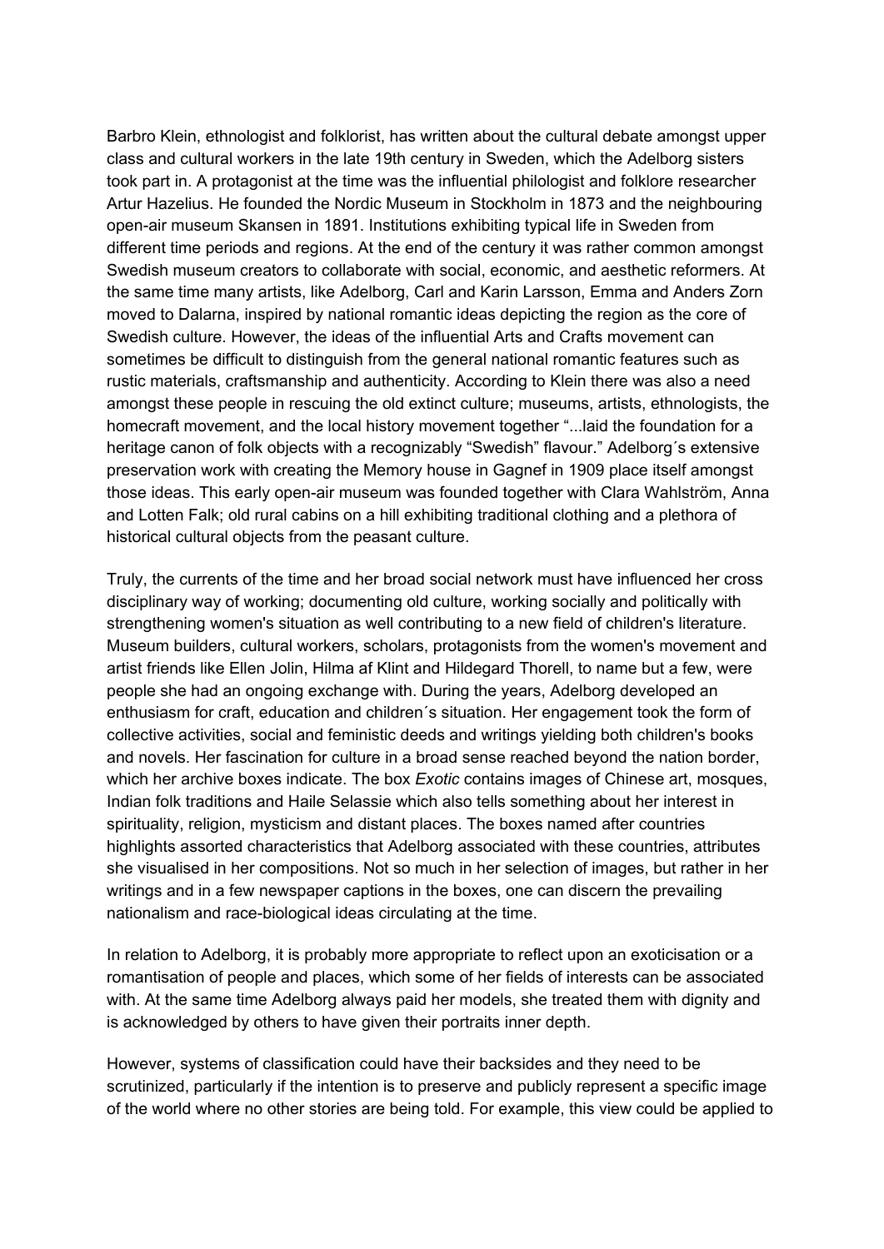Barbro Klein, ethnologist and folklorist, has written about the cultural debate amongst upper class and cultural workers in the late 19th century in Sweden, which the Adelborg sisters took part in. A protagonist at the time was the influential philologist and folklore researcher Artur Hazelius. He founded the Nordic Museum in Stockholm in 1873 and the neighbouring open-air museum Skansen in 1891. Institutions exhibiting typical life in Sweden from different time periods and regions. At the end of the century it was rather common amongst Swedish museum creators to collaborate with social, economic, and aesthetic reformers. At the same time many artists, like Adelborg, Carl and Karin Larsson, Emma and Anders Zorn moved to Dalarna, inspired by national romantic ideas depicting the region as the core of Swedish culture. However, the ideas of the influential Arts and Crafts movement can sometimes be difficult to distinguish from the general national romantic features such as rustic materials, craftsmanship and authenticity. According to Klein there was also a need amongst these people in rescuing the old extinct culture; museums, artists, ethnologists, the homecraft movement, and the local history movement together "...laid the foundation for a heritage canon of folk objects with a recognizably "Swedish" flavour." Adelborg´s extensive preservation work with creating the Memory house in Gagnef in 1909 place itself amongst those ideas. This early open-air museum was founded together with Clara Wahlström, Anna and Lotten Falk; old rural cabins on a hill exhibiting traditional clothing and a plethora of historical cultural objects from the peasant culture.

Truly, the currents of the time and her broad social network must have influenced her cross disciplinary way of working; documenting old culture, working socially and politically with strengthening women's situation as well contributing to a new field of children's literature. Museum builders, cultural workers, scholars, protagonists from the women's movement and artist friends like Ellen Jolin, Hilma af Klint and Hildegard Thorell, to name but a few, were people she had an ongoing exchange with. During the years, Adelborg developed an enthusiasm for craft, education and children´s situation. Her engagement took the form of collective activities, social and feministic deeds and writings yielding both children's books and novels. Her fascination for culture in a broad sense reached beyond the nation border, which her archive boxes indicate. The box *Exotic* contains images of Chinese art, mosques, Indian folk traditions and Haile Selassie which also tells something about her interest in spirituality, religion, mysticism and distant places. The boxes named after countries highlights assorted characteristics that Adelborg associated with these countries, attributes she visualised in her compositions. Not so much in her selection of images, but rather in her writings and in a few newspaper captions in the boxes, one can discern the prevailing nationalism and race-biological ideas circulating at the time.

In relation to Adelborg, it is probably more appropriate to reflect upon an exoticisation or a romantisation of people and places, which some of her fields of interests can be associated with. At the same time Adelborg always paid her models, she treated them with dignity and is acknowledged by others to have given their portraits inner depth.

However, systems of classification could have their backsides and they need to be scrutinized, particularly if the intention is to preserve and publicly represent a specific image of the world where no other stories are being told. For example, this view could be applied to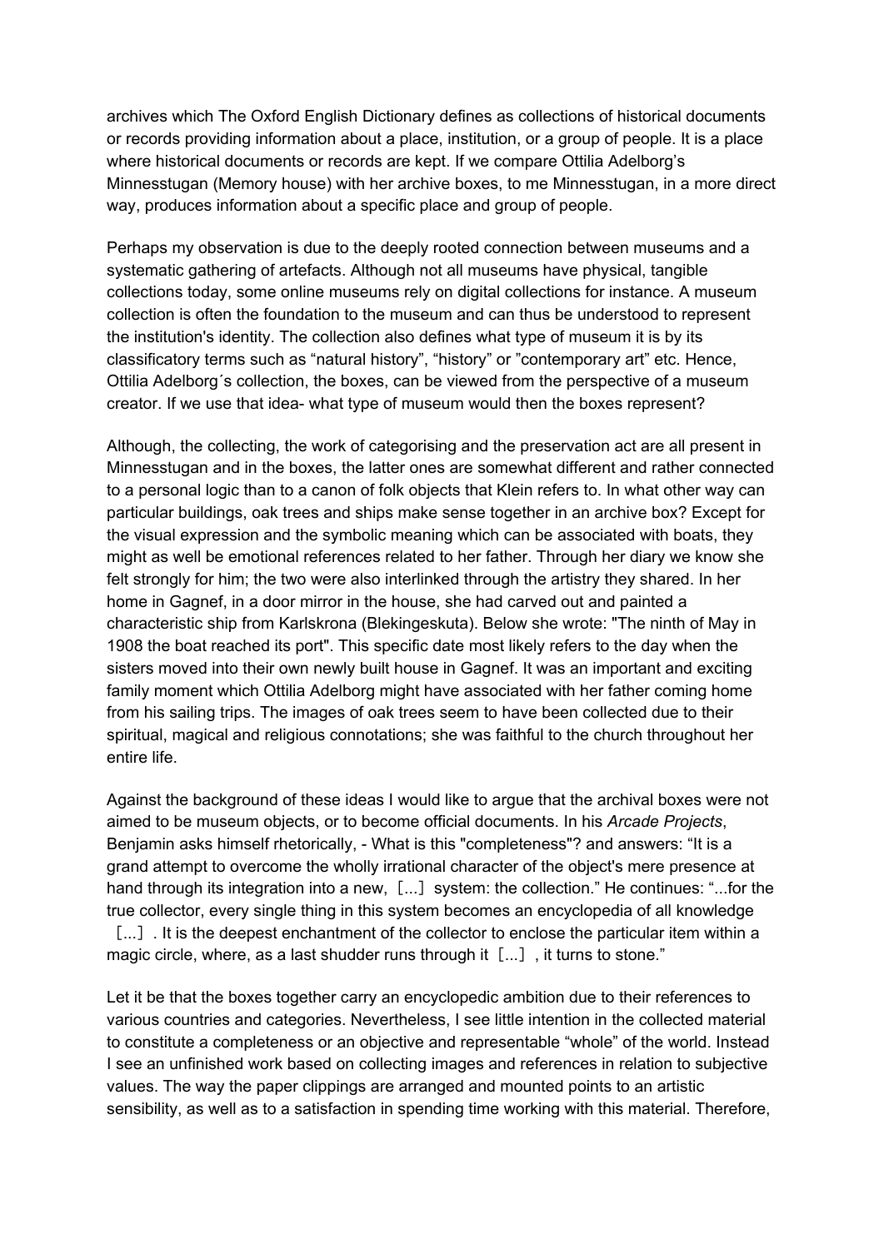archives which The Oxford English Dictionary defines as collections of historical documents or records providing information about a place, institution, or a group of people. It is a place where historical documents or records are kept. If we compare Ottilia Adelborg's Minnesstugan (Memory house) with her archive boxes, to me Minnesstugan, in a more direct way, produces information about a specific place and group of people.

Perhaps my observation is due to the deeply rooted connection between museums and a systematic gathering of artefacts. Although not all museums have physical, tangible collections today, some online museums rely on digital collections for instance. A museum collection is often the foundation to the museum and can thus be understood to represent the institution's identity. The collection also defines what type of museum it is by its classificatory terms such as "natural history", "history" or "contemporary art" etc. Hence, Ottilia Adelborg´s collection, the boxes, can be viewed from the perspective of a museum creator. If we use that idea- what type of museum would then the boxes represent?

Although, the collecting, the work of categorising and the preservation act are all present in Minnesstugan and in the boxes, the latter ones are somewhat different and rather connected to a personal logic than to a canon of folk objects that Klein refers to. In what other way can particular buildings, oak trees and ships make sense together in an archive box? Except for the visual expression and the symbolic meaning which can be associated with boats, they might as well be emotional references related to her father. Through her diary we know she felt strongly for him; the two were also interlinked through the artistry they shared. In her home in Gagnef, in a door mirror in the house, she had carved out and painted a characteristic ship from Karlskrona (Blekingeskuta). Below she wrote: "The ninth of May in 1908 the boat reached its port". This specific date most likely refers to the day when the sisters moved into their own newly built house in Gagnef. It was an important and exciting family moment which Ottilia Adelborg might have associated with her father coming home from his sailing trips. The images of oak trees seem to have been collected due to their spiritual, magical and religious connotations; she was faithful to the church throughout her entire life.

Against the background of these ideas I would like to argue that the archival boxes were not aimed to be museum objects, or to become official documents. In his *Arcade Projects*, Benjamin asks himself rhetorically, - What is this "completeness"? and answers: "It is a grand attempt to overcome the wholly irrational character of the object's mere presence at hand through its integration into a new, [...] system: the collection." He continues: "...for the true collector, every single thing in this system becomes an encyclopedia of all knowledge [...] It is the deepest enchantment of the collector to enclose the particular item within a magic circle, where, as a last shudder runs through it  $[...]$ , it turns to stone."

Let it be that the boxes together carry an encyclopedic ambition due to their references to various countries and categories. Nevertheless, I see little intention in the collected material to constitute a completeness or an objective and representable "whole" of the world. Instead I see an unfinished work based on collecting images and references in relation to subjective values. The way the paper clippings are arranged and mounted points to an artistic sensibility, as well as to a satisfaction in spending time working with this material. Therefore,